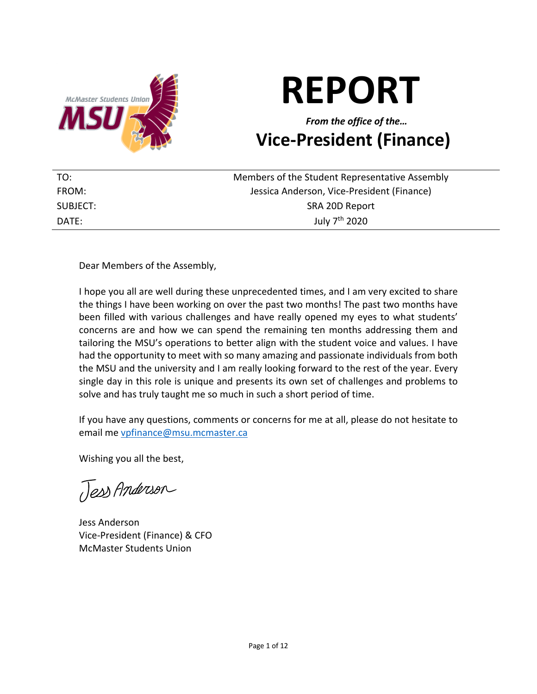

# **REPORT**

# *From the office of the…* **Vice-President (Finance)**

| TO:      | Members of the Student Representative Assembly |
|----------|------------------------------------------------|
| FROM:    | Jessica Anderson, Vice-President (Finance)     |
| SUBJECT: | SRA 20D Report                                 |
| DATE:    | July 7 <sup>th</sup> 2020                      |

### Dear Members of the Assembly,

I hope you all are well during these unprecedented times, and I am very excited to share the things I have been working on over the past two months! The past two months have been filled with various challenges and have really opened my eyes to what students' concerns are and how we can spend the remaining ten months addressing them and tailoring the MSU's operations to better align with the student voice and values. I have had the opportunity to meet with so many amazing and passionate individuals from both the MSU and the university and I am really looking forward to the rest of the year. Every single day in this role is unique and presents its own set of challenges and problems to solve and has truly taught me so much in such a short period of time.

If you have any questions, comments or concerns for me at all, please do not hesitate to email me vpfinance@msu.mcmaster.ca

Wishing you all the best,

Jess Anderson

Jess Anderson Vice-President (Finance) & CFO McMaster Students Union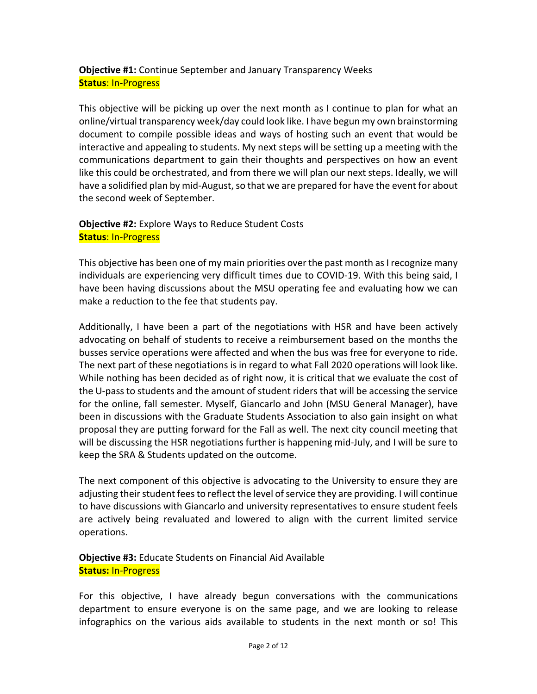# **Objective #1:** Continue September and January Transparency Weeks **Status**: In-Progress

This objective will be picking up over the next month as I continue to plan for what an online/virtual transparency week/day could look like. I have begun my own brainstorming document to compile possible ideas and ways of hosting such an event that would be interactive and appealing to students. My next steps will be setting up a meeting with the communications department to gain their thoughts and perspectives on how an event like this could be orchestrated, and from there we will plan our next steps. Ideally, we will have a solidified plan by mid-August, so that we are prepared for have the event for about the second week of September.

# **Objective #2:** Explore Ways to Reduce Student Costs **Status**: In-Progress

This objective has been one of my main priorities over the past month as I recognize many individuals are experiencing very difficult times due to COVID-19. With this being said, I have been having discussions about the MSU operating fee and evaluating how we can make a reduction to the fee that students pay.

Additionally, I have been a part of the negotiations with HSR and have been actively advocating on behalf of students to receive a reimbursement based on the months the busses service operations were affected and when the bus was free for everyone to ride. The next part of these negotiations is in regard to what Fall 2020 operations will look like. While nothing has been decided as of right now, it is critical that we evaluate the cost of the U-pass to students and the amount of student riders that will be accessing the service for the online, fall semester. Myself, Giancarlo and John (MSU General Manager), have been in discussions with the Graduate Students Association to also gain insight on what proposal they are putting forward for the Fall as well. The next city council meeting that will be discussing the HSR negotiations further is happening mid-July, and I will be sure to keep the SRA & Students updated on the outcome.

The next component of this objective is advocating to the University to ensure they are adjusting their student fees to reflect the level of service they are providing. I will continue to have discussions with Giancarlo and university representatives to ensure student feels are actively being revaluated and lowered to align with the current limited service operations.

### **Objective #3:** Educate Students on Financial Aid Available **Status:** In-Progress

For this objective, I have already begun conversations with the communications department to ensure everyone is on the same page, and we are looking to release infographics on the various aids available to students in the next month or so! This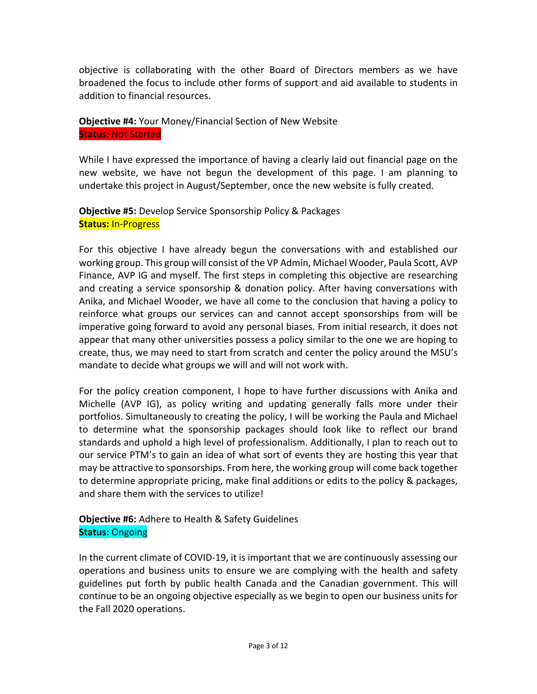objective is collaborating with the other Board of Directors members as we have broadened the focus to include other forms of support and aid available to students in addition to financial resources.

#### **Objective #4:** Your Money/Financial Section of New Website **Status:** Not Started

While I have expressed the importance of having a clearly laid out financial page on the new website, we have not begun the development of this page. I am planning to undertake this project in August/September, once the new website is fully created.

# **Objective #5:** Develop Service Sponsorship Policy & Packages **Status:** In-Progress

For this objective I have already begun the conversations with and established our working group. This group will consist of the VP Admin, Michael Wooder, Paula Scott, AVP Finance, AVP IG and myself. The first steps in completing this objective are researching and creating a service sponsorship & donation policy. After having conversations with Anika, and Michael Wooder, we have all come to the conclusion that having a policy to reinforce what groups our services can and cannot accept sponsorships from will be imperative going forward to avoid any personal biases. From initial research, it does not appear that many other universities possess a policy similar to the one we are hoping to create, thus, we may need to start from scratch and center the policy around the MSU's mandate to decide what groups we will and will not work with.

For the policy creation component, I hope to have further discussions with Anika and Michelle (AVP IG), as policy writing and updating generally falls more under their portfolios. Simultaneously to creating the policy, I will be working the Paula and Michael to determine what the sponsorship packages should look like to reflect our brand standards and uphold a high level of professionalism. Additionally, I plan to reach out to our service PTM's to gain an idea of what sort of events they are hosting this year that may be attractive to sponsorships. From here, the working group will come back together to determine appropriate pricing, make final additions or edits to the policy & packages, and share them with the services to utilize!

# **Objective #6:** Adhere to Health & Safety Guidelines **Status:** Ongoing

In the current climate of COVID-19, it is important that we are continuously assessing our operations and business units to ensure we are complying with the health and safety guidelines put forth by public health Canada and the Canadian government. This will continue to be an ongoing objective especially as we begin to open our business units for the Fall 2020 operations.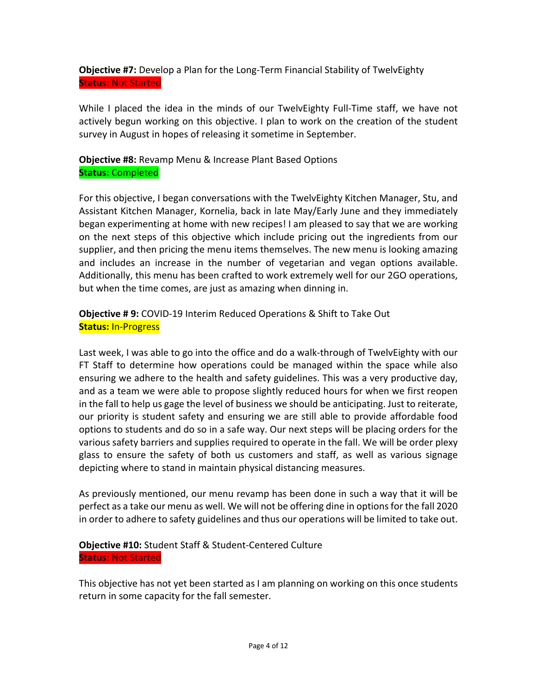**Objective #7:** Develop a Plan for the Long-Term Financial Stability of TwelvEighty **Status:** Not Started

While I placed the idea in the minds of our TwelvEighty Full-Time staff, we have not actively begun working on this objective. I plan to work on the creation of the student survey in August in hopes of releasing it sometime in September.

**Objective #8:** Revamp Menu & Increase Plant Based Options **Status:** Completed

For this objective, I began conversations with the TwelvEighty Kitchen Manager, Stu, and Assistant Kitchen Manager, Kornelia, back in late May/Early June and they immediately began experimenting at home with new recipes! I am pleased to say that we are working on the next steps of this objective which include pricing out the ingredients from our supplier, and then pricing the menu items themselves. The new menu is looking amazing and includes an increase in the number of vegetarian and vegan options available. Additionally, this menu has been crafted to work extremely well for our 2GO operations, but when the time comes, are just as amazing when dinning in.

**Objective # 9:** COVID-19 Interim Reduced Operations & Shift to Take Out **Status:** In-Progress

Last week, I was able to go into the office and do a walk-through of TwelvEighty with our FT Staff to determine how operations could be managed within the space while also ensuring we adhere to the health and safety guidelines. This was a very productive day, and as a team we were able to propose slightly reduced hours for when we first reopen in the fall to help us gage the level of business we should be anticipating. Just to reiterate, our priority is student safety and ensuring we are still able to provide affordable food options to students and do so in a safe way. Our next steps will be placing orders for the various safety barriers and supplies required to operate in the fall. We will be order plexy glass to ensure the safety of both us customers and staff, as well as various signage depicting where to stand in maintain physical distancing measures.

As previously mentioned, our menu revamp has been done in such a way that it will be perfect as a take our menu as well. We will not be offering dine in options for the fall 2020 in order to adhere to safety guidelines and thus our operations will be limited to take out.

# **Objective #10:** Student Staff & Student-Centered Culture **Status:** Not Started

This objective has not yet been started as I am planning on working on this once students return in some capacity for the fall semester.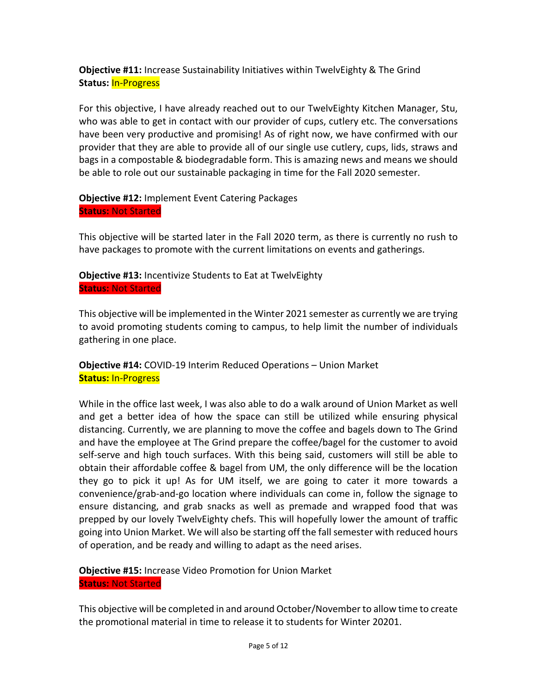**Objective #11:** Increase Sustainability Initiatives within TwelvEighty & The Grind **Status:** In-Progress

For this objective, I have already reached out to our TwelvEighty Kitchen Manager, Stu, who was able to get in contact with our provider of cups, cutlery etc. The conversations have been very productive and promising! As of right now, we have confirmed with our provider that they are able to provide all of our single use cutlery, cups, lids, straws and bags in a compostable & biodegradable form. This is amazing news and means we should be able to role out our sustainable packaging in time for the Fall 2020 semester.

**Objective #12:** Implement Event Catering Packages **Status:** Not Started

This objective will be started later in the Fall 2020 term, as there is currently no rush to have packages to promote with the current limitations on events and gatherings.

**Objective #13:** Incentivize Students to Eat at TwelvEighty **Status:** Not Started

This objective will be implemented in the Winter 2021 semester as currently we are trying to avoid promoting students coming to campus, to help limit the number of individuals gathering in one place.

**Objective #14:** COVID-19 Interim Reduced Operations – Union Market **Status:** In-Progress

While in the office last week, I was also able to do a walk around of Union Market as well and get a better idea of how the space can still be utilized while ensuring physical distancing. Currently, we are planning to move the coffee and bagels down to The Grind and have the employee at The Grind prepare the coffee/bagel for the customer to avoid self-serve and high touch surfaces. With this being said, customers will still be able to obtain their affordable coffee & bagel from UM, the only difference will be the location they go to pick it up! As for UM itself, we are going to cater it more towards a convenience/grab-and-go location where individuals can come in, follow the signage to ensure distancing, and grab snacks as well as premade and wrapped food that was prepped by our lovely TwelvEighty chefs. This will hopefully lower the amount of traffic going into Union Market. We will also be starting off the fall semester with reduced hours of operation, and be ready and willing to adapt as the need arises.

**Objective #15:** Increase Video Promotion for Union Market **Status:** Not Started

This objective will be completed in and around October/November to allow time to create the promotional material in time to release it to students for Winter 20201.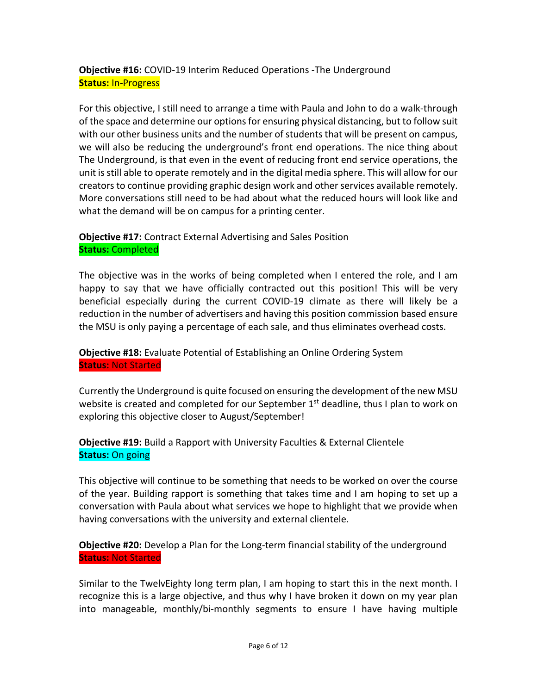**Objective #16:** COVID-19 Interim Reduced Operations -The Underground **Status:** In-Progress

For this objective, I still need to arrange a time with Paula and John to do a walk-through of the space and determine our options for ensuring physical distancing, but to follow suit with our other business units and the number of students that will be present on campus, we will also be reducing the underground's front end operations. The nice thing about The Underground, is that even in the event of reducing front end service operations, the unit is still able to operate remotely and in the digital media sphere. This will allow for our creators to continue providing graphic design work and other services available remotely. More conversations still need to be had about what the reduced hours will look like and what the demand will be on campus for a printing center.

**Objective #17:** Contract External Advertising and Sales Position **Status:** Completed

The objective was in the works of being completed when I entered the role, and I am happy to say that we have officially contracted out this position! This will be very beneficial especially during the current COVID-19 climate as there will likely be a reduction in the number of advertisers and having this position commission based ensure the MSU is only paying a percentage of each sale, and thus eliminates overhead costs.

**Objective #18:** Evaluate Potential of Establishing an Online Ordering System **Status:** Not Started

Currently the Underground is quite focused on ensuring the development of the new MSU website is created and completed for our September  $1<sup>st</sup>$  deadline, thus I plan to work on exploring this objective closer to August/September!

**Objective #19:** Build a Rapport with University Faculties & External Clientele **Status:** On going

This objective will continue to be something that needs to be worked on over the course of the year. Building rapport is something that takes time and I am hoping to set up a conversation with Paula about what services we hope to highlight that we provide when having conversations with the university and external clientele.

**Objective #20:** Develop a Plan for the Long-term financial stability of the underground **Status:** Not Started

Similar to the TwelvEighty long term plan, I am hoping to start this in the next month. I recognize this is a large objective, and thus why I have broken it down on my year plan into manageable, monthly/bi-monthly segments to ensure I have having multiple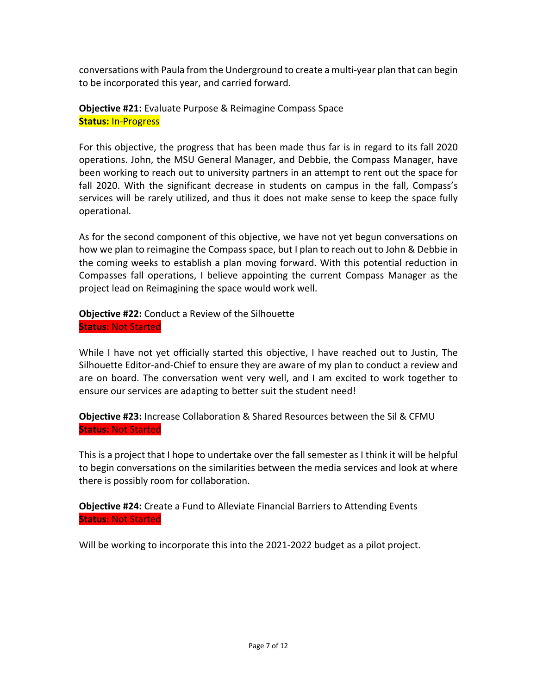conversations with Paula from the Underground to create a multi-year plan that can begin to be incorporated this year, and carried forward.

**Objective #21:** Evaluate Purpose & Reimagine Compass Space **Status:** In-Progress

For this objective, the progress that has been made thus far is in regard to its fall 2020 operations. John, the MSU General Manager, and Debbie, the Compass Manager, have been working to reach out to university partners in an attempt to rent out the space for fall 2020. With the significant decrease in students on campus in the fall, Compass's services will be rarely utilized, and thus it does not make sense to keep the space fully operational.

As for the second component of this objective, we have not yet begun conversations on how we plan to reimagine the Compass space, but I plan to reach out to John & Debbie in the coming weeks to establish a plan moving forward. With this potential reduction in Compasses fall operations, I believe appointing the current Compass Manager as the project lead on Reimagining the space would work well.

**Objective #22:** Conduct a Review of the Silhouette **Status:** Not Started

While I have not yet officially started this objective, I have reached out to Justin, The Silhouette Editor-and-Chief to ensure they are aware of my plan to conduct a review and are on board. The conversation went very well, and I am excited to work together to ensure our services are adapting to better suit the student need!

**Objective #23:** Increase Collaboration & Shared Resources between the Sil & CFMU **Status:** Not Started

This is a project that I hope to undertake over the fall semester as I think it will be helpful to begin conversations on the similarities between the media services and look at where there is possibly room for collaboration.

**Objective #24:** Create a Fund to Alleviate Financial Barriers to Attending Events **Status:** Not Started

Will be working to incorporate this into the 2021-2022 budget as a pilot project.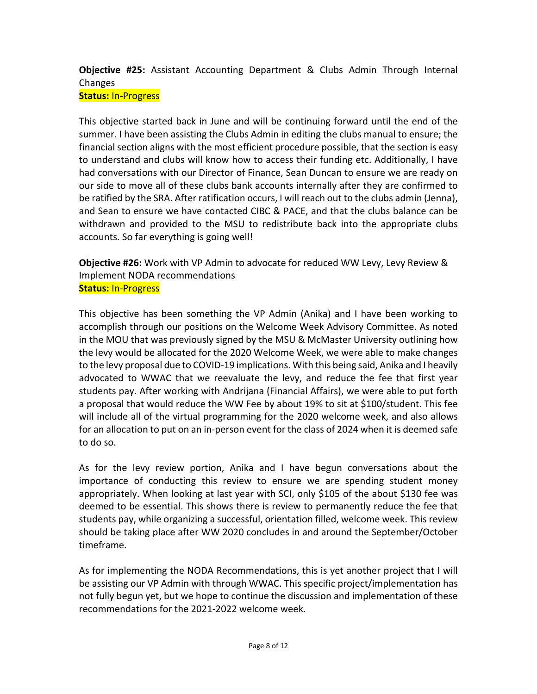# **Objective #25:** Assistant Accounting Department & Clubs Admin Through Internal Changes **Status:** In-Progress

This objective started back in June and will be continuing forward until the end of the summer. I have been assisting the Clubs Admin in editing the clubs manual to ensure; the financial section aligns with the most efficient procedure possible, that the section is easy to understand and clubs will know how to access their funding etc. Additionally, I have had conversations with our Director of Finance, Sean Duncan to ensure we are ready on our side to move all of these clubs bank accounts internally after they are confirmed to be ratified by the SRA. After ratification occurs, I will reach out to the clubs admin (Jenna), and Sean to ensure we have contacted CIBC & PACE, and that the clubs balance can be withdrawn and provided to the MSU to redistribute back into the appropriate clubs accounts. So far everything is going well!

**Objective #26:** Work with VP Admin to advocate for reduced WW Levy, Levy Review & Implement NODA recommendations **Status:** In-Progress

This objective has been something the VP Admin (Anika) and I have been working to accomplish through our positions on the Welcome Week Advisory Committee. As noted in the MOU that was previously signed by the MSU & McMaster University outlining how the levy would be allocated for the 2020 Welcome Week, we were able to make changes to the levy proposal due to COVID-19 implications. With this being said, Anika and I heavily advocated to WWAC that we reevaluate the levy, and reduce the fee that first year students pay. After working with Andrijana (Financial Affairs), we were able to put forth a proposal that would reduce the WW Fee by about 19% to sit at \$100/student. This fee will include all of the virtual programming for the 2020 welcome week, and also allows for an allocation to put on an in-person event for the class of 2024 when it is deemed safe to do so.

As for the levy review portion, Anika and I have begun conversations about the importance of conducting this review to ensure we are spending student money appropriately. When looking at last year with SCI, only \$105 of the about \$130 fee was deemed to be essential. This shows there is review to permanently reduce the fee that students pay, while organizing a successful, orientation filled, welcome week. This review should be taking place after WW 2020 concludes in and around the September/October timeframe.

As for implementing the NODA Recommendations, this is yet another project that I will be assisting our VP Admin with through WWAC. This specific project/implementation has not fully begun yet, but we hope to continue the discussion and implementation of these recommendations for the 2021-2022 welcome week.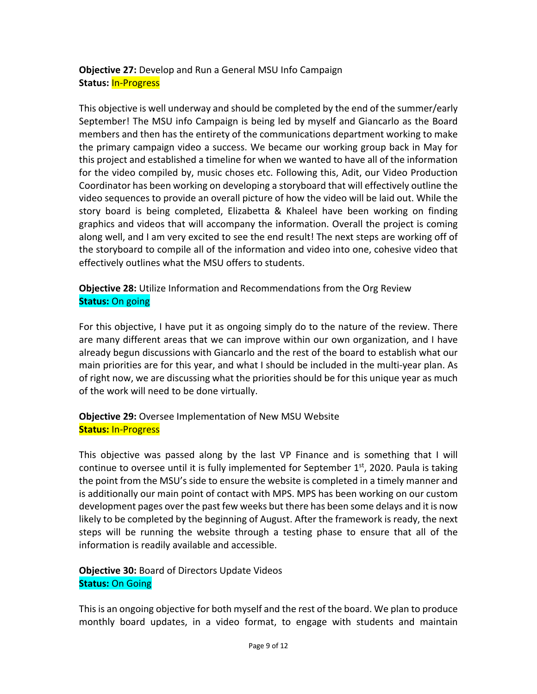# **Objective 27:** Develop and Run a General MSU Info Campaign **Status:** In-Progress

This objective is well underway and should be completed by the end of the summer/early September! The MSU info Campaign is being led by myself and Giancarlo as the Board members and then has the entirety of the communications department working to make the primary campaign video a success. We became our working group back in May for this project and established a timeline for when we wanted to have all of the information for the video compiled by, music choses etc. Following this, Adit, our Video Production Coordinator has been working on developing a storyboard that will effectively outline the video sequences to provide an overall picture of how the video will be laid out. While the story board is being completed, Elizabetta & Khaleel have been working on finding graphics and videos that will accompany the information. Overall the project is coming along well, and I am very excited to see the end result! The next steps are working off of the storyboard to compile all of the information and video into one, cohesive video that effectively outlines what the MSU offers to students.

**Objective 28:** Utilize Information and Recommendations from the Org Review **Status:** On going

For this objective, I have put it as ongoing simply do to the nature of the review. There are many different areas that we can improve within our own organization, and I have already begun discussions with Giancarlo and the rest of the board to establish what our main priorities are for this year, and what I should be included in the multi-year plan. As of right now, we are discussing what the priorities should be for this unique year as much of the work will need to be done virtually.

**Objective 29:** Oversee Implementation of New MSU Website **Status:** In-Progress

This objective was passed along by the last VP Finance and is something that I will continue to oversee until it is fully implemented for September  $1<sup>st</sup>$ , 2020. Paula is taking the point from the MSU's side to ensure the website is completed in a timely manner and is additionally our main point of contact with MPS. MPS has been working on our custom development pages over the past few weeks but there has been some delays and it is now likely to be completed by the beginning of August. After the framework is ready, the next steps will be running the website through a testing phase to ensure that all of the information is readily available and accessible.

**Objective 30:** Board of Directors Update Videos **Status:** On Going

This is an ongoing objective for both myself and the rest of the board. We plan to produce monthly board updates, in a video format, to engage with students and maintain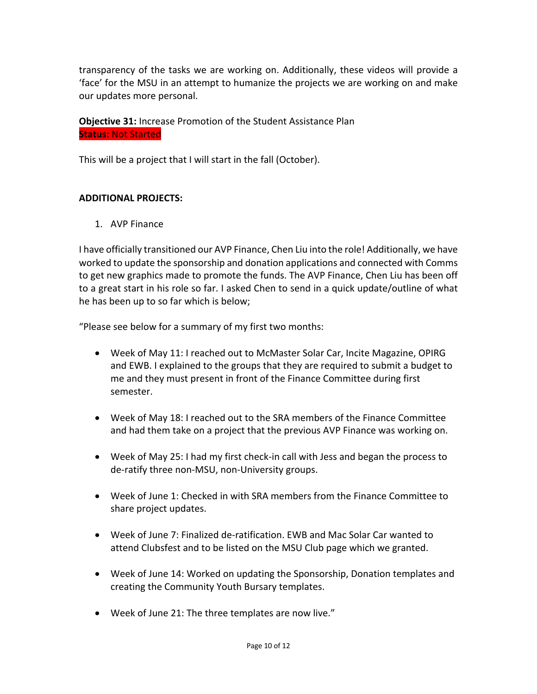transparency of the tasks we are working on. Additionally, these videos will provide a 'face' for the MSU in an attempt to humanize the projects we are working on and make our updates more personal.

**Objective 31:** Increase Promotion of the Student Assistance Plan **Status:** Not Started

This will be a project that I will start in the fall (October).

### **ADDITIONAL PROJECTS:**

1. AVP Finance

I have officially transitioned our AVP Finance, Chen Liu into the role! Additionally, we have worked to update the sponsorship and donation applications and connected with Comms to get new graphics made to promote the funds. The AVP Finance, Chen Liu has been off to a great start in his role so far. I asked Chen to send in a quick update/outline of what he has been up to so far which is below;

"Please see below for a summary of my first two months:

- Week of May 11: I reached out to McMaster Solar Car, Incite Magazine, OPIRG and EWB. I explained to the groups that they are required to submit a budget to me and they must present in front of the Finance Committee during first semester.
- Week of May 18: I reached out to the SRA members of the Finance Committee and had them take on a project that the previous AVP Finance was working on.
- Week of May 25: I had my first check-in call with Jess and began the process to de-ratify three non-MSU, non-University groups.
- Week of June 1: Checked in with SRA members from the Finance Committee to share project updates.
- Week of June 7: Finalized de-ratification. EWB and Mac Solar Car wanted to attend Clubsfest and to be listed on the MSU Club page which we granted.
- Week of June 14: Worked on updating the Sponsorship, Donation templates and creating the Community Youth Bursary templates.
- Week of June 21: The three templates are now live."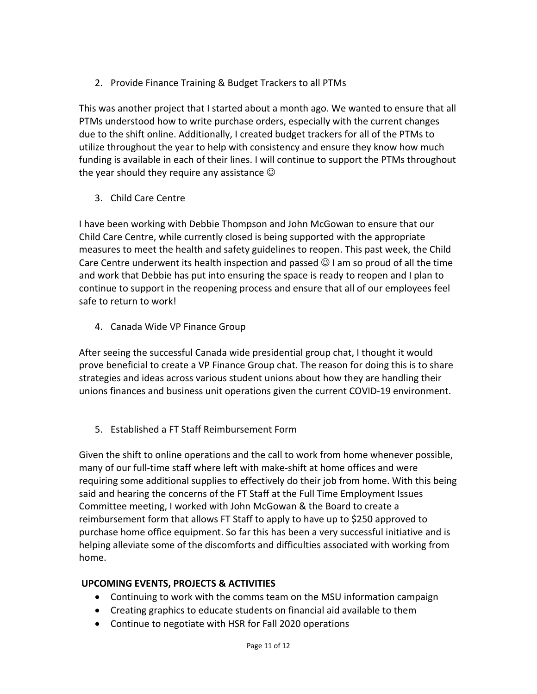2. Provide Finance Training & Budget Trackers to all PTMs

This was another project that I started about a month ago. We wanted to ensure that all PTMs understood how to write purchase orders, especially with the current changes due to the shift online. Additionally, I created budget trackers for all of the PTMs to utilize throughout the year to help with consistency and ensure they know how much funding is available in each of their lines. I will continue to support the PTMs throughout the year should they require any assistance  $\odot$ 

3. Child Care Centre

I have been working with Debbie Thompson and John McGowan to ensure that our Child Care Centre, while currently closed is being supported with the appropriate measures to meet the health and safety guidelines to reopen. This past week, the Child Care Centre underwent its health inspection and passed  $\odot$  I am so proud of all the time and work that Debbie has put into ensuring the space is ready to reopen and I plan to continue to support in the reopening process and ensure that all of our employees feel safe to return to work!

4. Canada Wide VP Finance Group

After seeing the successful Canada wide presidential group chat, I thought it would prove beneficial to create a VP Finance Group chat. The reason for doing this is to share strategies and ideas across various student unions about how they are handling their unions finances and business unit operations given the current COVID-19 environment.

5. Established a FT Staff Reimbursement Form

Given the shift to online operations and the call to work from home whenever possible, many of our full-time staff where left with make-shift at home offices and were requiring some additional supplies to effectively do their job from home. With this being said and hearing the concerns of the FT Staff at the Full Time Employment Issues Committee meeting, I worked with John McGowan & the Board to create a reimbursement form that allows FT Staff to apply to have up to \$250 approved to purchase home office equipment. So far this has been a very successful initiative and is helping alleviate some of the discomforts and difficulties associated with working from home.

# **UPCOMING EVENTS, PROJECTS & ACTIVITIES**

- Continuing to work with the comms team on the MSU information campaign
- Creating graphics to educate students on financial aid available to them
- Continue to negotiate with HSR for Fall 2020 operations